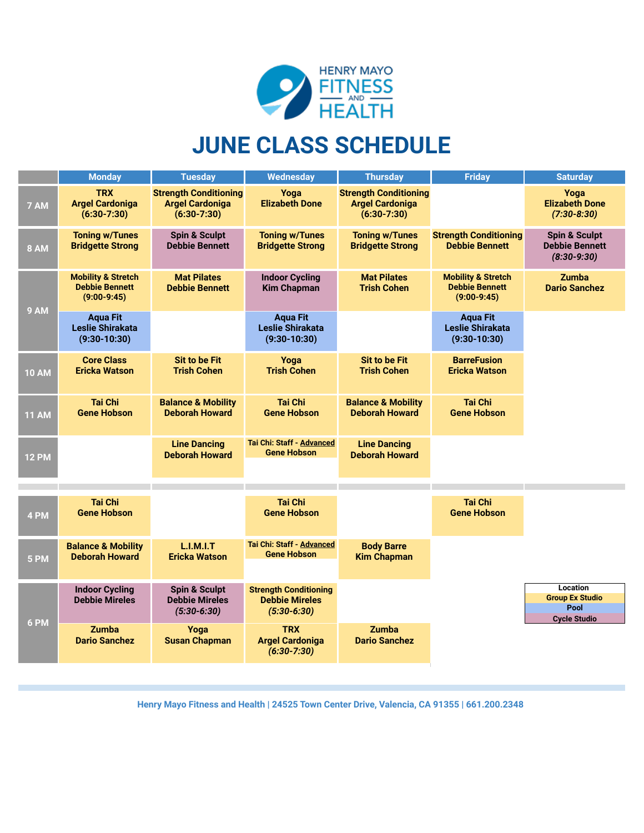

## **JUNE CLASS SCHEDULE**

|              | <b>Monday</b>                                                           | <b>Tuesday</b>                                                          | <b>Wednesday</b>                                                       | <b>Thursday</b>                                                         | <b>Friday</b>                                                           | <b>Saturday</b>                                                    |
|--------------|-------------------------------------------------------------------------|-------------------------------------------------------------------------|------------------------------------------------------------------------|-------------------------------------------------------------------------|-------------------------------------------------------------------------|--------------------------------------------------------------------|
| 7 AM         | <b>TRX</b><br><b>Argel Cardoniga</b><br>$(6:30-7:30)$                   | <b>Strength Conditioning</b><br><b>Argel Cardoniga</b><br>$(6:30-7:30)$ | Yoga<br><b>Elizabeth Done</b>                                          | <b>Strength Conditioning</b><br><b>Argel Cardoniga</b><br>$(6:30-7:30)$ |                                                                         | Yoga<br><b>Elizabeth Done</b><br>(7:30-8:30)                       |
| <b>8 AM</b>  | <b>Toning w/Tunes</b><br><b>Bridgette Strong</b>                        | <b>Spin &amp; Sculpt</b><br><b>Debbie Bennett</b>                       | <b>Toning w/Tunes</b><br><b>Bridgette Strong</b>                       | <b>Toning w/Tunes</b><br><b>Bridgette Strong</b>                        | <b>Strength Conditioning</b><br><b>Debbie Bennett</b>                   | <b>Spin &amp; Sculpt</b><br><b>Debbie Bennett</b><br>$(8:30-9:30)$ |
| <b>9 AM</b>  | <b>Mobility &amp; Stretch</b><br><b>Debbie Bennett</b><br>$(9:00-9:45)$ | <b>Mat Pilates</b><br><b>Debbie Bennett</b>                             | <b>Indoor Cycling</b><br><b>Kim Chapman</b>                            | <b>Mat Pilates</b><br><b>Trish Cohen</b>                                | <b>Mobility &amp; Stretch</b><br><b>Debbie Bennett</b><br>$(9:00-9:45)$ | Zumba<br><b>Dario Sanchez</b>                                      |
|              | <b>Aqua Fit</b><br>Leslie Shirakata<br>$(9:30-10:30)$                   |                                                                         | <b>Aqua Fit</b><br>Leslie Shirakata<br>$(9:30-10:30)$                  |                                                                         | <b>Agua Fit</b><br>Leslie Shirakata<br>$(9:30-10:30)$                   |                                                                    |
| <b>10 AM</b> | <b>Core Class</b><br><b>Ericka Watson</b>                               | <b>Sit to be Fit</b><br><b>Trish Cohen</b>                              | Yoga<br><b>Trish Cohen</b>                                             | <b>Sit to be Fit</b><br><b>Trish Cohen</b>                              | <b>BarreFusion</b><br><b>Ericka Watson</b>                              |                                                                    |
| <b>11 AM</b> | <b>Tai Chi</b><br><b>Gene Hobson</b>                                    | <b>Balance &amp; Mobility</b><br><b>Deborah Howard</b>                  | <b>Tai Chi</b><br><b>Gene Hobson</b>                                   | <b>Balance &amp; Mobility</b><br><b>Deborah Howard</b>                  | <b>Tai Chi</b><br><b>Gene Hobson</b>                                    |                                                                    |
| <b>12 PM</b> |                                                                         | <b>Line Dancing</b><br><b>Deborah Howard</b>                            | <b>Tai Chi: Staff - Advanced</b><br><b>Gene Hobson</b>                 | <b>Line Dancing</b><br><b>Deborah Howard</b>                            |                                                                         |                                                                    |
|              |                                                                         |                                                                         |                                                                        |                                                                         |                                                                         |                                                                    |
| 4 PM         | <b>Tai Chi</b><br><b>Gene Hobson</b>                                    |                                                                         | <b>Tai Chi</b><br><b>Gene Hobson</b>                                   |                                                                         | <b>Tai Chi</b><br><b>Gene Hobson</b>                                    |                                                                    |
| <b>5 PM</b>  | <b>Balance &amp; Mobility</b><br><b>Deborah Howard</b>                  | L.I.M.I.T<br><b>Ericka Watson</b>                                       | <b>Tai Chi: Staff - Advanced</b><br><b>Gene Hobson</b>                 | <b>Body Barre</b><br><b>Kim Chapman</b>                                 |                                                                         |                                                                    |
|              | <b>Indoor Cycling</b><br><b>Debbie Mireles</b>                          | <b>Spin &amp; Sculpt</b><br><b>Debbie Mireles</b><br>$(5:30-6:30)$      | <b>Strength Conditioning</b><br><b>Debbie Mireles</b><br>$(5:30-6:30)$ |                                                                         |                                                                         | Location<br><b>Group Ex Studio</b><br>Pool<br><b>Cycle Studio</b>  |
| 6 PM         | Zumba<br><b>Dario Sanchez</b>                                           | Yoga<br><b>Susan Chapman</b>                                            | <b>TRX</b><br><b>Argel Cardoniga</b><br>$(6:30-7:30)$                  | Zumba<br><b>Dario Sanchez</b>                                           |                                                                         |                                                                    |

 **Henry Mayo Fitness and Health | 24525 Town Center Drive, Valencia, CA 91355 | 661.200.2348**